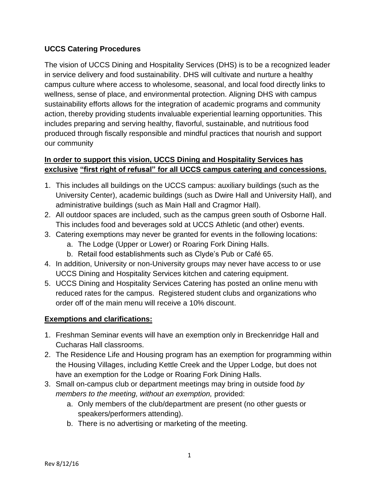# **UCCS Catering Procedures**

The vision of UCCS Dining and Hospitality Services (DHS) is to be a recognized leader in service delivery and food sustainability. DHS will cultivate and nurture a healthy campus culture where access to wholesome, seasonal, and local food directly links to wellness, sense of place, and environmental protection. Aligning DHS with campus sustainability efforts allows for the integration of academic programs and community action, thereby providing students invaluable experiential learning opportunities. This includes preparing and serving healthy, flavorful, sustainable, and nutritious food produced through fiscally responsible and mindful practices that nourish and support our community

## **In order to support this vision, UCCS Dining and Hospitality Services has exclusive "first right of refusal" for all UCCS campus catering and concessions.**

- 1. This includes all buildings on the UCCS campus: auxiliary buildings (such as the University Center), academic buildings (such as Dwire Hall and University Hall), and administrative buildings (such as Main Hall and Cragmor Hall).
- 2. All outdoor spaces are included, such as the campus green south of Osborne Hall. This includes food and beverages sold at UCCS Athletic (and other) events.
- 3. Catering exemptions may never be granted for events in the following locations:
	- a. The Lodge (Upper or Lower) or Roaring Fork Dining Halls.
	- b. Retail food establishments such as Clyde's Pub or Café 65.
- 4. In addition, University or non-University groups may never have access to or use UCCS Dining and Hospitality Services kitchen and catering equipment.
- 5. UCCS Dining and Hospitality Services Catering has posted an online menu with reduced rates for the campus. Registered student clubs and organizations who order off of the main menu will receive a 10% discount.

## **Exemptions and clarifications:**

- 1. Freshman Seminar events will have an exemption only in Breckenridge Hall and Cucharas Hall classrooms.
- 2. The Residence Life and Housing program has an exemption for programming within the Housing Villages, including Kettle Creek and the Upper Lodge, but does not have an exemption for the Lodge or Roaring Fork Dining Halls.
- 3. Small on-campus club or department meetings may bring in outside food *by members to the meeting, without an exemption,* provided:
	- a. Only members of the club/department are present (no other guests or speakers/performers attending).
	- b. There is no advertising or marketing of the meeting.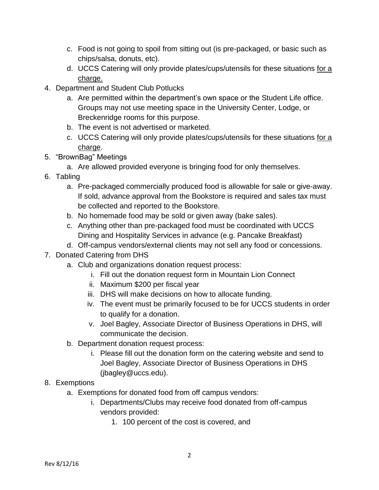- c. Food is not going to spoil from sitting out (is pre-packaged, or basic such as chips/salsa, donuts, etc).
- d. UCCS Catering will only provide plates/cups/utensils for these situations for a charge.
- 4. Department and Student Club Potlucks
	- a. Are permitted within the department's own space or the Student Life office. Groups may not use meeting space in the University Center, Lodge, or Breckenridge rooms for this purpose.
	- b. The event is not advertised or marketed.
	- c. UCCS Catering will only provide plates/cups/utensils for these situations for a charge.
- 5. "BrownBag" Meetings
	- a. Are allowed provided everyone is bringing food for only themselves.
- 6. Tabling
	- a. Pre-packaged commercially produced food is allowable for sale or give-away. If sold, advance approval from the Bookstore is required and sales tax must be collected and reported to the Bookstore.
	- b. No homemade food may be sold or given away (bake sales).
	- c. Anything other than pre-packaged food must be coordinated with UCCS Dining and Hospitality Services in advance (e.g. Pancake Breakfast)
	- d. Off-campus vendors/external clients may not sell any food or concessions.
- 7. Donated Catering from DHS
	- a. Club and organizations donation request process:
		- i. Fill out the donation request form in Mountain Lion Connect
		- ii. Maximum \$200 per fiscal year
		- iii. DHS will make decisions on how to allocate funding.
		- iv. The event must be primarily focused to be for UCCS students in order to qualify for a donation.
		- v. Joel Bagley, Associate Director of Business Operations in DHS, will communicate the decision.
	- b. Department donation request process:
		- i. Please fill out the donation form on the catering website and send to Joel Bagley, Associate Director of Business Operations in DHS (jbagley@uccs.edu).

# 8. Exemptions

- a. Exemptions for donated food from off campus vendors:
	- i. Departments/Clubs may receive food donated from off-campus vendors provided:
		- 1. 100 percent of the cost is covered, and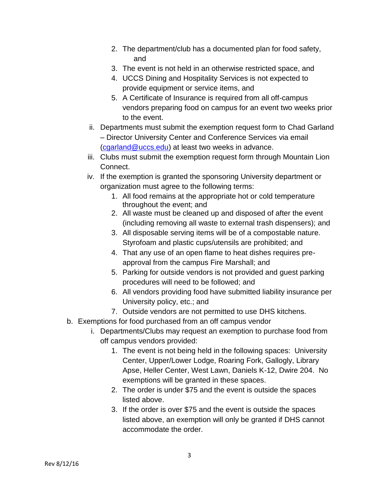- 2. The department/club has a documented plan for food safety, and
- 3. The event is not held in an otherwise restricted space, and
- 4. UCCS Dining and Hospitality Services is not expected to provide equipment or service items, and
- 5. A Certificate of Insurance is required from all off-campus vendors preparing food on campus for an event two weeks prior to the event.
- ii. Departments must submit the exemption request form to Chad Garland – Director University Center and Conference Services via email [\(cgarland@uccs.edu\)](mailto:cgarland@uccs.edu) at least two weeks in advance.
- iii. Clubs must submit the exemption request form through Mountain Lion Connect.
- iv. If the exemption is granted the sponsoring University department or organization must agree to the following terms:
	- 1. All food remains at the appropriate hot or cold temperature throughout the event; and
	- 2. All waste must be cleaned up and disposed of after the event (including removing all waste to external trash dispensers); and
	- 3. All disposable serving items will be of a compostable nature. Styrofoam and plastic cups/utensils are prohibited; and
	- 4. That any use of an open flame to heat dishes requires preapproval from the campus Fire Marshall; and
	- 5. Parking for outside vendors is not provided and guest parking procedures will need to be followed; and
	- 6. All vendors providing food have submitted liability insurance per University policy, etc.; and
	- 7. Outside vendors are not permitted to use DHS kitchens.
- b. Exemptions for food purchased from an off campus vendor
	- i. Departments/Clubs may request an exemption to purchase food from off campus vendors provided:
		- 1. The event is not being held in the following spaces: University Center, Upper/Lower Lodge, Roaring Fork, Gallogly, Library Apse, Heller Center, West Lawn, Daniels K-12, Dwire 204. No exemptions will be granted in these spaces.
		- 2. The order is under \$75 and the event is outside the spaces listed above.
		- 3. If the order is over \$75 and the event is outside the spaces listed above, an exemption will only be granted if DHS cannot accommodate the order.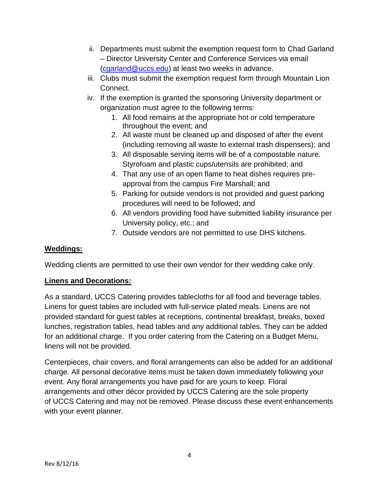- ii. Departments must submit the exemption request form to Chad Garland – Director University Center and Conference Services via email [\(cgarland@uccs.edu\)](mailto:cgarland@uccs.edu) at least two weeks in advance.
- iii. Clubs must submit the exemption request form through Mountain Lion Connect.
- iv. If the exemption is granted the sponsoring University department or organization must agree to the following terms:
	- 1. All food remains at the appropriate hot or cold temperature throughout the event; and
	- 2. All waste must be cleaned up and disposed of after the event (including removing all waste to external trash dispensers); and
	- 3. All disposable serving items will be of a compostable nature. Styrofoam and plastic cups/utensils are prohibited; and
	- 4. That any use of an open flame to heat dishes requires preapproval from the campus Fire Marshall; and
	- 5. Parking for outside vendors is not provided and guest parking procedures will need to be followed; and
	- 6. All vendors providing food have submitted liability insurance per University policy, etc.; and
	- 7. Outside vendors are not permitted to use DHS kitchens.

# **Weddings:**

Wedding clients are permitted to use their own vendor for their wedding cake only.

## **Linens and Decorations:**

As a standard, UCCS Catering provides tablecloths for all food and beverage tables. Linens for guest tables are included with full-service plated meals. Linens are not provided standard for guest tables at receptions, continental breakfast, breaks, boxed lunches, registration tables, head tables and any additional tables. They can be added for an additional charge. If you order catering from the Catering on a Budget Menu, linens will not be provided.

Centerpieces, chair covers, and floral arrangements can also be added for an additional charge. All personal decorative items must be taken down immediately following your event. Any floral arrangements you have paid for are yours to keep. Floral arrangements and other décor provided by UCCS Catering are the sole property of UCCS Catering and may not be removed. Please discuss these event enhancements with your event planner.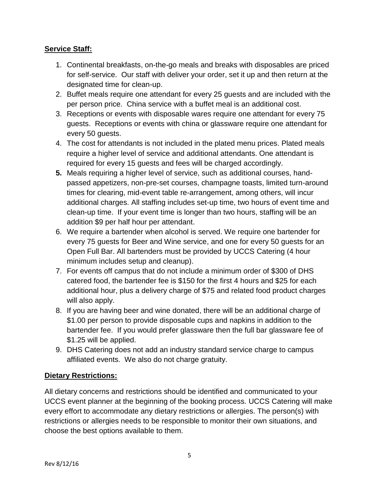# **Service Staff:**

- 1. Continental breakfasts, on-the-go meals and breaks with disposables are priced for self-service. Our staff with deliver your order, set it up and then return at the designated time for clean-up.
- 2. Buffet meals require one attendant for every 25 guests and are included with the per person price. China service with a buffet meal is an additional cost.
- 3. Receptions or events with disposable wares require one attendant for every 75 guests. Receptions or events with china or glassware require one attendant for every 50 guests.
- 4. The cost for attendants is not included in the plated menu prices. Plated meals require a higher level of service and additional attendants. One attendant is required for every 15 guests and fees will be charged accordingly.
- **5.** Meals requiring a higher level of service, such as additional courses, handpassed appetizers, non-pre-set courses, champagne toasts, limited turn-around times for clearing, mid-event table re-arrangement, among others, will incur additional charges. All staffing includes set-up time, two hours of event time and clean-up time. If your event time is longer than two hours, staffing will be an addition \$9 per half hour per attendant.
- 6. We require a bartender when alcohol is served. We require one bartender for every 75 guests for Beer and Wine service, and one for every 50 guests for an Open Full Bar. All bartenders must be provided by UCCS Catering (4 hour minimum includes setup and cleanup).
- 7. For events off campus that do not include a minimum order of \$300 of DHS catered food, the bartender fee is \$150 for the first 4 hours and \$25 for each additional hour, plus a delivery charge of \$75 and related food product charges will also apply.
- 8. If you are having beer and wine donated, there will be an additional charge of \$1.00 per person to provide disposable cups and napkins in addition to the bartender fee. If you would prefer glassware then the full bar glassware fee of \$1.25 will be applied.
- 9. DHS Catering does not add an industry standard service charge to campus affiliated events. We also do not charge gratuity.

# **Dietary Restrictions:**

All dietary concerns and restrictions should be identified and communicated to your UCCS event planner at the beginning of the booking process. UCCS Catering will make every effort to accommodate any dietary restrictions or allergies. The person(s) with restrictions or allergies needs to be responsible to monitor their own situations, and choose the best options available to them.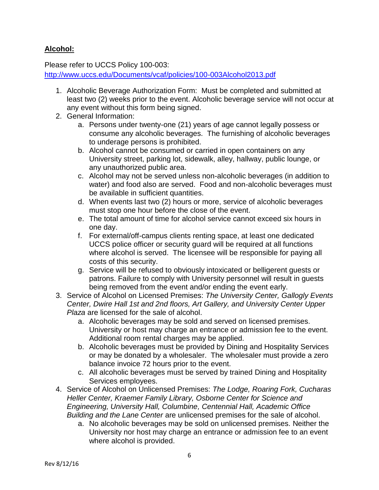# **Alcohol:**

Please refer to UCCS Policy 100-003:

<http://www.uccs.edu/Documents/vcaf/policies/100-003Alcohol2013.pdf>

- 1. Alcoholic Beverage Authorization Form: Must be completed and submitted at least two (2) weeks prior to the event. Alcoholic beverage service will not occur at any event without this form being signed.
- 2. General Information:
	- a. Persons under twenty-one (21) years of age cannot legally possess or consume any alcoholic beverages. The furnishing of alcoholic beverages to underage persons is prohibited.
	- b. Alcohol cannot be consumed or carried in open containers on any University street, parking lot, sidewalk, alley, hallway, public lounge, or any unauthorized public area.
	- c. Alcohol may not be served unless non-alcoholic beverages (in addition to water) and food also are served. Food and non-alcoholic beverages must be available in sufficient quantities.
	- d. When events last two (2) hours or more, service of alcoholic beverages must stop one hour before the close of the event.
	- e. The total amount of time for alcohol service cannot exceed six hours in one day.
	- f. For external/off-campus clients renting space, at least one dedicated UCCS police officer or security guard will be required at all functions where alcohol is served. The licensee will be responsible for paying all costs of this security.
	- g. Service will be refused to obviously intoxicated or belligerent guests or patrons. Failure to comply with University personnel will result in guests being removed from the event and/or ending the event early.
- 3. Service of Alcohol on Licensed Premises: *The University Center, Gallogly Events Center, Dwire Hall 1st and 2nd floors, Art Gallery, and University Center Upper Plaza* are licensed for the sale of alcohol.
	- a. Alcoholic beverages may be sold and served on licensed premises. University or host may charge an entrance or admission fee to the event. Additional room rental charges may be applied.
	- b. Alcoholic beverages must be provided by Dining and Hospitality Services or may be donated by a wholesaler. The wholesaler must provide a zero balance invoice 72 hours prior to the event.
	- c. All alcoholic beverages must be served by trained Dining and Hospitality Services employees.
- 4. Service of Alcohol on Unlicensed Premises: *The Lodge, Roaring Fork, Cucharas Heller Center, Kraemer Family Library, Osborne Center for Science and Engineering, University Hall, Columbine, Centennial Hall, Academic Office Building and the Lane Center* are unlicensed premises for the sale of alcohol.
	- a. No alcoholic beverages may be sold on unlicensed premises. Neither the University nor host may charge an entrance or admission fee to an event where alcohol is provided.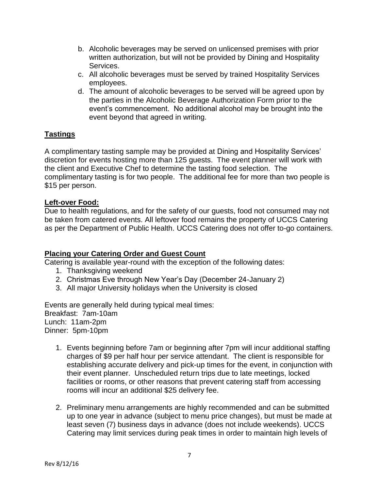- b. Alcoholic beverages may be served on unlicensed premises with prior written authorization, but will not be provided by Dining and Hospitality Services.
- c. All alcoholic beverages must be served by trained Hospitality Services employees.
- d. The amount of alcoholic beverages to be served will be agreed upon by the parties in the Alcoholic Beverage Authorization Form prior to the event's commencement. No additional alcohol may be brought into the event beyond that agreed in writing.

## **Tastings**

A complimentary tasting sample may be provided at Dining and Hospitality Services' discretion for events hosting more than 125 guests. The event planner will work with the client and Executive Chef to determine the tasting food selection. The complimentary tasting is for two people. The additional fee for more than two people is \$15 per person.

#### **Left-over Food:**

Due to health regulations, and for the safety of our guests, food not consumed may not be taken from catered events. All leftover food remains the property of UCCS Catering as per the Department of Public Health. UCCS Catering does not offer to-go containers.

### **Placing your Catering Order and Guest Count**

Catering is available year-round with the exception of the following dates:

- 1. Thanksgiving weekend
- 2. Christmas Eve through New Year's Day (December 24-January 2)
- 3. All major University holidays when the University is closed

Events are generally held during typical meal times: Breakfast: 7am-10am Lunch: 11am-2pm Dinner: 5pm-10pm

- 1. Events beginning before 7am or beginning after 7pm will incur additional staffing charges of \$9 per half hour per service attendant. The client is responsible for establishing accurate delivery and pick-up times for the event, in conjunction with their event planner. Unscheduled return trips due to late meetings, locked facilities or rooms, or other reasons that prevent catering staff from accessing rooms will incur an additional \$25 delivery fee.
- 2. Preliminary menu arrangements are highly recommended and can be submitted up to one year in advance (subject to menu price changes), but must be made at least seven (7) business days in advance (does not include weekends). UCCS Catering may limit services during peak times in order to maintain high levels of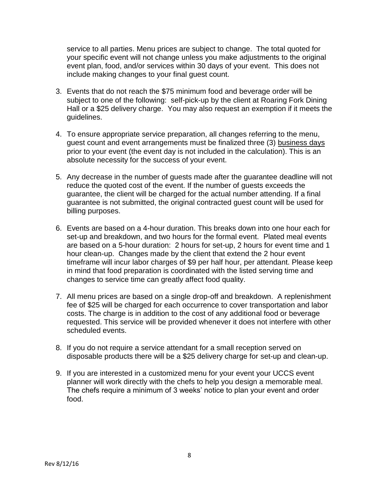service to all parties. Menu prices are subject to change. The total quoted for your specific event will not change unless you make adjustments to the original event plan, food, and/or services within 30 days of your event. This does not include making changes to your final guest count.

- 3. Events that do not reach the \$75 minimum food and beverage order will be subject to one of the following: self-pick-up by the client at Roaring Fork Dining Hall or a \$25 delivery charge. You may also request an exemption if it meets the guidelines.
- 4. To ensure appropriate service preparation, all changes referring to the menu, guest count and event arrangements must be finalized three (3) business days prior to your event (the event day is not included in the calculation). This is an absolute necessity for the success of your event.
- 5. Any decrease in the number of guests made after the guarantee deadline will not reduce the quoted cost of the event. If the number of guests exceeds the guarantee, the client will be charged for the actual number attending. If a final guarantee is not submitted, the original contracted guest count will be used for billing purposes.
- 6. Events are based on a 4-hour duration. This breaks down into one hour each for set-up and breakdown, and two hours for the formal event. Plated meal events are based on a 5-hour duration: 2 hours for set-up, 2 hours for event time and 1 hour clean-up. Changes made by the client that extend the 2 hour event timeframe will incur labor charges of \$9 per half hour, per attendant. Please keep in mind that food preparation is coordinated with the listed serving time and changes to service time can greatly affect food quality.
- 7. All menu prices are based on a single drop-off and breakdown. A replenishment fee of \$25 will be charged for each occurrence to cover transportation and labor costs. The charge is in addition to the cost of any additional food or beverage requested. This service will be provided whenever it does not interfere with other scheduled events.
- 8. If you do not require a service attendant for a small reception served on disposable products there will be a \$25 delivery charge for set-up and clean-up.
- 9. If you are interested in a customized menu for your event your UCCS event planner will work directly with the chefs to help you design a memorable meal. The chefs require a minimum of 3 weeks' notice to plan your event and order food.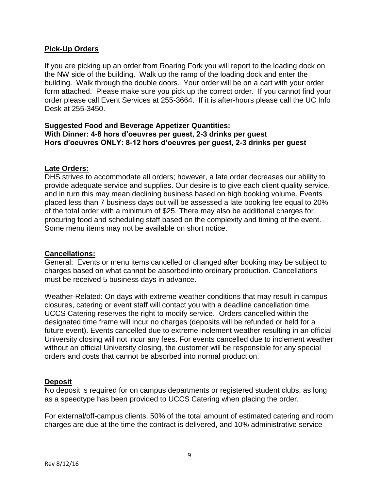### **Pick-Up Orders**

If you are picking up an order from Roaring Fork you will report to the loading dock on the NW side of the building. Walk up the ramp of the loading dock and enter the building. Walk through the double doors. Your order will be on a cart with your order form attached. Please make sure you pick up the correct order. If you cannot find your order please call Event Services at 255-3664. If it is after-hours please call the UC Info Desk at 255-3450.

### **Suggested Food and Beverage Appetizer Quantities: With Dinner: 4-8 hors d'oeuvres per guest, 2-3 drinks per guest Hors d'oeuvres ONLY: 8-12 hors d'oeuvres per guest, 2-3 drinks per guest**

#### **Late Orders:**

DHS strives to accommodate all orders; however, a late order decreases our ability to provide adequate service and supplies. Our desire is to give each client quality service, and in turn this may mean declining business based on high booking volume. Events placed less than 7 business days out will be assessed a late booking fee equal to 20% of the total order with a minimum of \$25. There may also be additional charges for procuring food and scheduling staff based on the complexity and timing of the event. Some menu items may not be available on short notice.

#### **Cancellations:**

General: Events or menu items cancelled or changed after booking may be subject to charges based on what cannot be absorbed into ordinary production. Cancellations must be received 5 business days in advance.

Weather-Related: On days with extreme weather conditions that may result in campus closures, catering or event staff will contact you with a deadline cancellation time. UCCS Catering reserves the right to modify service. Orders cancelled within the designated time frame will incur no charges (deposits will be refunded or held for a future event). Events cancelled due to extreme inclement weather resulting in an official University closing will not incur any fees. For events cancelled due to inclement weather without an official University closing, the customer will be responsible for any special orders and costs that cannot be absorbed into normal production.

### **Deposit**

No deposit is required for on campus departments or registered student clubs, as long as a speedtype has been provided to UCCS Catering when placing the order.

For external/off-campus clients, 50% of the total amount of estimated catering and room charges are due at the time the contract is delivered, and 10% administrative service